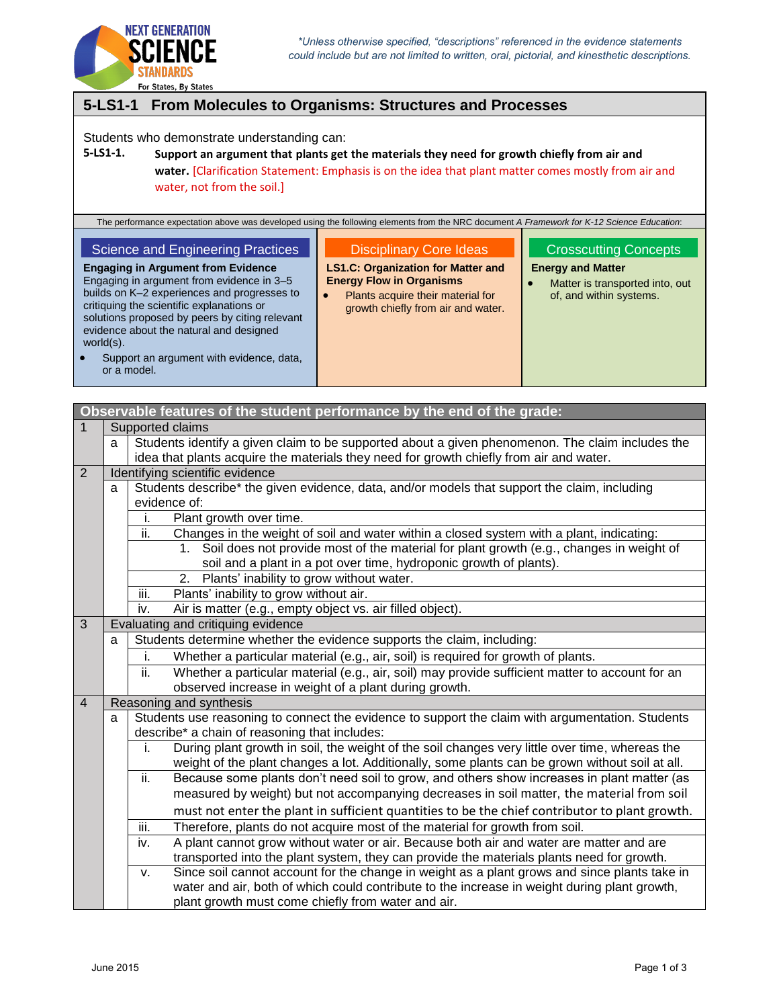

# **5-LS1-1 From Molecules to Organisms: Structures and Processes**

Students who demonstrate understanding can:

## **5-LS1-1. Support an argument that plants get the materials they need for growth chiefly from air and water.** [Clarification Statement: Emphasis is on the idea that plant matter comes mostly from air and water, not from the soil.]

| The performance expectation above was developed using the following elements from the NRC document A Framework for K-12 Science Education:<br>Science and Engineering Practices<br><b>Engaging in Argument from Evidence</b><br>Engaging in argument from evidence in 3-5<br>builds on K-2 experiences and progresses to<br>critiquing the scientific explanations or<br>solutions proposed by peers by citing relevant<br>evidence about the natural and designed<br>world $(s)$ .<br>Support an argument with evidence, data,<br>$\bullet$<br>or a model. | <b>Disciplinary Core Ideas</b><br><b>LS1.C: Organization for Matter and</b><br><b>Energy Flow in Organisms</b><br>Plants acquire their material for<br>$\bullet$<br>growth chiefly from air and water. | <b>Crosscutting Concepts</b><br><b>Energy and Matter</b><br>Matter is transported into, out<br>of, and within systems. |
|-------------------------------------------------------------------------------------------------------------------------------------------------------------------------------------------------------------------------------------------------------------------------------------------------------------------------------------------------------------------------------------------------------------------------------------------------------------------------------------------------------------------------------------------------------------|--------------------------------------------------------------------------------------------------------------------------------------------------------------------------------------------------------|------------------------------------------------------------------------------------------------------------------------|

|                | Observable features of the student performance by the end of the grade: |                                                                                                                                                                                 |                                                                                                                                                                                                                                                    |  |  |
|----------------|-------------------------------------------------------------------------|---------------------------------------------------------------------------------------------------------------------------------------------------------------------------------|----------------------------------------------------------------------------------------------------------------------------------------------------------------------------------------------------------------------------------------------------|--|--|
| 1              |                                                                         | Supported claims                                                                                                                                                                |                                                                                                                                                                                                                                                    |  |  |
|                | a                                                                       |                                                                                                                                                                                 | Students identify a given claim to be supported about a given phenomenon. The claim includes the<br>idea that plants acquire the materials they need for growth chiefly from air and water.                                                        |  |  |
| 2              |                                                                         |                                                                                                                                                                                 | Identifying scientific evidence                                                                                                                                                                                                                    |  |  |
|                | a                                                                       | Students describe* the given evidence, data, and/or models that support the claim, including<br>evidence of:                                                                    |                                                                                                                                                                                                                                                    |  |  |
|                |                                                                         | Τ.                                                                                                                                                                              | Plant growth over time.                                                                                                                                                                                                                            |  |  |
|                |                                                                         | ii.                                                                                                                                                                             | Changes in the weight of soil and water within a closed system with a plant, indicating:                                                                                                                                                           |  |  |
|                |                                                                         | Soil does not provide most of the material for plant growth (e.g., changes in weight of<br>1 <sup>1</sup><br>soil and a plant in a pot over time, hydroponic growth of plants). |                                                                                                                                                                                                                                                    |  |  |
|                |                                                                         | 2. Plants' inability to grow without water.                                                                                                                                     |                                                                                                                                                                                                                                                    |  |  |
|                |                                                                         | iii.                                                                                                                                                                            | Plants' inability to grow without air.                                                                                                                                                                                                             |  |  |
|                |                                                                         | iv.                                                                                                                                                                             | Air is matter (e.g., empty object vs. air filled object).                                                                                                                                                                                          |  |  |
| 3              |                                                                         |                                                                                                                                                                                 | Evaluating and critiquing evidence                                                                                                                                                                                                                 |  |  |
|                | a                                                                       | Students determine whether the evidence supports the claim, including:                                                                                                          |                                                                                                                                                                                                                                                    |  |  |
|                |                                                                         | j.                                                                                                                                                                              | Whether a particular material (e.g., air, soil) is required for growth of plants.                                                                                                                                                                  |  |  |
|                |                                                                         | ii.                                                                                                                                                                             | Whether a particular material (e.g., air, soil) may provide sufficient matter to account for an<br>observed increase in weight of a plant during growth.                                                                                           |  |  |
| $\overline{4}$ |                                                                         |                                                                                                                                                                                 | Reasoning and synthesis                                                                                                                                                                                                                            |  |  |
|                | a                                                                       | Students use reasoning to connect the evidence to support the claim with argumentation. Students                                                                                |                                                                                                                                                                                                                                                    |  |  |
|                |                                                                         | describe* a chain of reasoning that includes:                                                                                                                                   |                                                                                                                                                                                                                                                    |  |  |
|                |                                                                         | j.                                                                                                                                                                              | During plant growth in soil, the weight of the soil changes very little over time, whereas the<br>weight of the plant changes a lot. Additionally, some plants can be grown without soil at all.                                                   |  |  |
|                |                                                                         | ii.                                                                                                                                                                             | Because some plants don't need soil to grow, and others show increases in plant matter (as                                                                                                                                                         |  |  |
|                |                                                                         |                                                                                                                                                                                 | measured by weight) but not accompanying decreases in soil matter, the material from soil                                                                                                                                                          |  |  |
|                |                                                                         |                                                                                                                                                                                 | must not enter the plant in sufficient quantities to be the chief contributor to plant growth.                                                                                                                                                     |  |  |
|                |                                                                         | iii.                                                                                                                                                                            | Therefore, plants do not acquire most of the material for growth from soil.                                                                                                                                                                        |  |  |
|                |                                                                         | iv.                                                                                                                                                                             | A plant cannot grow without water or air. Because both air and water are matter and are<br>transported into the plant system, they can provide the materials plants need for growth.                                                               |  |  |
|                |                                                                         | V.                                                                                                                                                                              | Since soil cannot account for the change in weight as a plant grows and since plants take in<br>water and air, both of which could contribute to the increase in weight during plant growth,<br>plant growth must come chiefly from water and air. |  |  |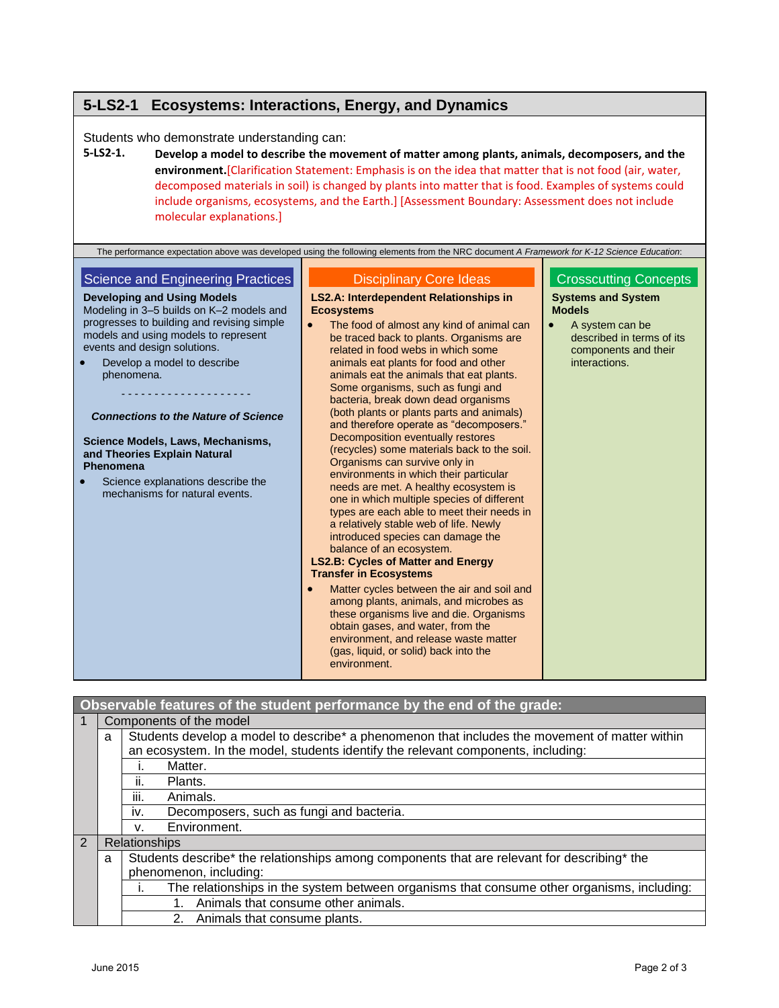# **5-LS2-1 Ecosystems: Interactions, Energy, and Dynamics**

## Students who demonstrate understanding can:

**5-LS2-1. Develop a model to describe the movement of matter among plants, animals, decomposers, and the environment.**[Clarification Statement: Emphasis is on the idea that matter that is not food (air, water, decomposed materials in soil) is changed by plants into matter that is food. Examples of systems could include organisms, ecosystems, and the Earth.] [Assessment Boundary: Assessment does not include molecular explanations.]

The performance expectation above was developed using the following elements from the NRC document *A Framework for K-12 Science Education*:

### Science and Engineering Practices

#### **Developing and Using Models**

Modeling in 3–5 builds on K–2 models and progresses to building and revising simple models and using models to represent events and design solutions.

 Develop a model to describe phenomena.

- - - - - - - - - - - - - - - - - - - -

#### *Connections to the Nature of Science*

#### **Science Models, Laws, Mechanisms, and Theories Explain Natural Phenomena**

 Science explanations describe the mechanisms for natural events.

### Disciplinary Core Ideas

#### **LS2.A: Interdependent Relationships in Ecosystems**

- The food of almost any kind of animal can be traced back to plants. Organisms are related in food webs in which some animals eat plants for food and other animals eat the animals that eat plants. Some organisms, such as fungi and bacteria, break down dead organisms (both plants or plants parts and animals) and therefore operate as "decomposers." Decomposition eventually restores (recycles) some materials back to the soil. Organisms can survive only in environments in which their particular needs are met. A healthy ecosystem is one in which multiple species of different types are each able to meet their needs in a relatively stable web of life. Newly introduced species can damage the balance of an ecosystem. **LS2.B: Cycles of Matter and Energy Transfer in Ecosystems**
	- Matter cycles between the air and soil and among plants, animals, and microbes as these organisms live and die. Organisms obtain gases, and water, from the environment, and release waste matter (gas, liquid, or solid) back into the environment.

# Crosscutting Concepts

#### **Systems and System Models**

 A system can be described in terms of its components and their interactions.

| Observable features of the student performance by the end of the grade: |   |                                                                                                |  |  |
|-------------------------------------------------------------------------|---|------------------------------------------------------------------------------------------------|--|--|
|                                                                         |   | Components of the model                                                                        |  |  |
|                                                                         | a | Students develop a model to describe* a phenomenon that includes the movement of matter within |  |  |
|                                                                         |   | an ecosystem. In the model, students identify the relevant components, including:              |  |  |
|                                                                         |   | Matter.                                                                                        |  |  |
|                                                                         |   | Plants.<br>ii.                                                                                 |  |  |
|                                                                         |   | iii.<br>Animals.                                                                               |  |  |
|                                                                         |   | Decomposers, such as fungi and bacteria.<br>İV.                                                |  |  |
|                                                                         |   | Environment.<br>V.                                                                             |  |  |
| $\overline{2}$                                                          |   | <b>Relationships</b>                                                                           |  |  |
|                                                                         | a | Students describe* the relationships among components that are relevant for describing* the    |  |  |
|                                                                         |   | phenomenon, including:                                                                         |  |  |
|                                                                         |   | The relationships in the system between organisms that consume other organisms, including:     |  |  |
|                                                                         |   | Animals that consume other animals.<br>1                                                       |  |  |
|                                                                         |   | Animals that consume plants.<br>2.                                                             |  |  |